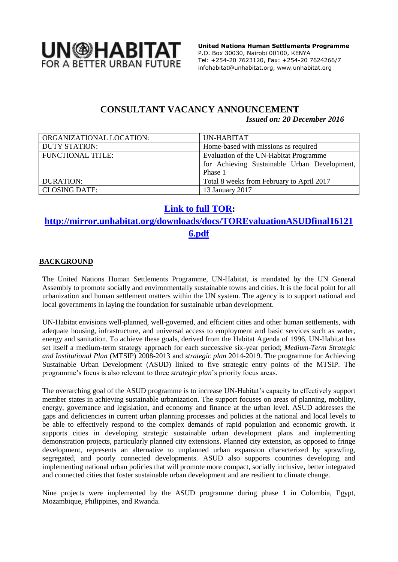

 **United Nations Human Settlements Programme** P.O. Box 30030, Nairobi 00100, KENYA Tel: +254-20 7623120, Fax: +254-20 7624266/7 [infohabitat@unhabitat.org,](mailto:infohabitat@unhabitat.org) www.unhabitat.org

## **CONSULTANT VACANCY ANNOUNCEMENT** *Issued on: 20 December 2016*

| ORGANIZATIONAL LOCATION: | UN-HABITAT                                   |
|--------------------------|----------------------------------------------|
| <b>DUTY STATION:</b>     | Home-based with missions as required         |
| <b>FUNCTIONAL TITLE:</b> | Evaluation of the UN-Habitat Programme       |
|                          | for Achieving Sustainable Urban Development, |
|                          | Phase 1                                      |
| <b>DURATION:</b>         | Total 8 weeks from February to April 2017    |
| <b>CLOSING DATE:</b>     | 13 January 2017                              |

## **[Link to full TOR:](http://mirror.unhabitat.org/downloads/docs/TOREvaluationASUDfinal161216.pdf)**

# **[http://mirror.unhabitat.org/downloads/docs/TOREvaluationASUDfinal16121](http://mirror.unhabitat.org/downloads/docs/TOREvaluationASUDfinal161216.pdf) [6.pdf](http://mirror.unhabitat.org/downloads/docs/TOREvaluationASUDfinal161216.pdf)**

## **BACKGROUND**

The United Nations Human Settlements Programme, UN-Habitat, is mandated by the UN General Assembly to promote socially and environmentally sustainable towns and cities. It is the focal point for all urbanization and human settlement matters within the UN system. The agency is to support national and local governments in laying the foundation for sustainable urban development.

UN-Habitat envisions well-planned, well-governed, and efficient cities and other human settlements, with adequate housing, infrastructure, and universal access to employment and basic services such as water, energy and sanitation. To achieve these goals, derived from the [Habitat Agenda](http://unhabitat.org/about-us-4/history-mandate-role-in-the-un-system/) of 1996, UN-Habitat has set itself a medium-term strategy approach for each successive six-year period; *Medium-Term Strategic and Institutional Plan* (MTSIP) 2008-2013 and *strategic plan* 2014-2019. The programme for Achieving Sustainable Urban Development (ASUD) linked to five strategic entry points of the MTSIP. The programme's focus is also relevant to three *strategic plan*'s priority focus areas.

The overarching goal of the ASUD programme is to increase UN-Habitat's capacity to effectively support member states in achieving sustainable urbanization. The support focuses on areas of planning, mobility, energy, governance and legislation, and economy and finance at the urban level. ASUD addresses the gaps and deficiencies in current urban planning processes and policies at the national and local levels to be able to effectively respond to the complex demands of rapid population and economic growth. It supports cities in developing strategic sustainable urban development plans and implementing demonstration projects, particularly planned city extensions. Planned city extension, as opposed to fringe development, represents an alternative to unplanned urban expansion characterized by sprawling, segregated, and poorly connected developments. ASUD also supports countries developing and implementing national urban policies that will promote more compact, socially inclusive, better integrated and connected cities that foster sustainable urban development and are resilient to climate change.

Nine projects were implemented by the ASUD programme during phase 1 in Colombia, Egypt, Mozambique, Philippines, and Rwanda.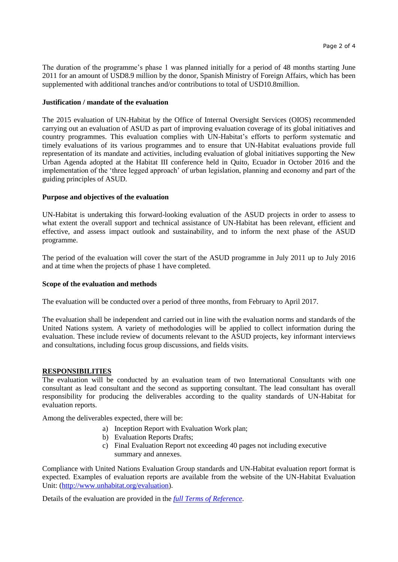The duration of the programme's phase 1 was planned initially for a period of 48 months starting June 2011 for an amount of USD8.9 million by the donor, Spanish Ministry of Foreign Affairs, which has been supplemented with additional tranches and/or contributions to total of USD10.8million.

#### **Justification / mandate of the evaluation**

The 2015 evaluation of UN-Habitat by the Office of Internal Oversight Services (OIOS) recommended carrying out an evaluation of ASUD as part of improving evaluation coverage of its global initiatives and country programmes. This evaluation complies with UN-Habitat's efforts to perform systematic and timely evaluations of its various programmes and to ensure that UN-Habitat evaluations provide full representation of its mandate and activities, including evaluation of global initiatives supporting the New Urban Agenda adopted at the Habitat III conference held in Quito, Ecuador in October 2016 and the implementation of the 'three legged approach' of urban legislation, planning and economy and part of the guiding principles of ASUD.

#### **Purpose and objectives of the evaluation**

UN-Habitat is undertaking this forward-looking evaluation of the ASUD projects in order to assess to what extent the overall support and technical assistance of UN-Habitat has been relevant, efficient and effective, and assess impact outlook and sustainability, and to inform the next phase of the ASUD programme.

The period of the evaluation will cover the start of the ASUD programme in July 2011 up to July 2016 and at time when the projects of phase 1 have completed.

#### **Scope of the evaluation and methods**

The evaluation will be conducted over a period of three months, from February to April 2017.

The evaluation shall be independent and carried out in line with the evaluation norms and standards of the United Nations system. A variety of methodologies will be applied to collect information during the evaluation. These include review of documents relevant to the ASUD projects, key informant interviews and consultations, including focus group discussions, and fields visits.

#### **RESPONSIBILITIES**

The evaluation will be conducted by an evaluation team of two International Consultants with one consultant as lead consultant and the second as supporting consultant. The lead consultant has overall responsibility for producing the deliverables according to the quality standards of UN-Habitat for evaluation reports.

Among the deliverables expected, there will be:

- a) Inception Report with Evaluation Work plan;
- b) Evaluation Reports Drafts;
- c) Final Evaluation Report not exceeding 40 pages not including executive summary and annexes.

Compliance with United Nations Evaluation Group standards and UN-Habitat evaluation report format is expected. Examples of evaluation reports are available from the website of the UN-Habitat Evaluation Unit: [\(http://www.unhabitat.org/evaluation\)](http://www.unhabitat.org/evaluations).

Details of the evaluation are provided in the *[full Terms of Reference](http://mirror.unhabitat.org/downloads/docs/TOREvaluationASUDfinal161216.pdf)*.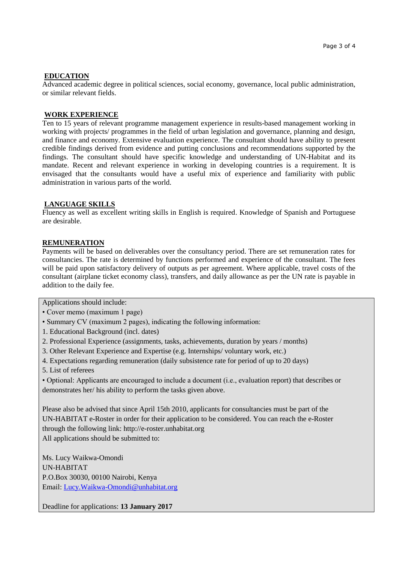#### **EDUCATION**

Advanced academic degree in political sciences, social economy, governance, local public administration, or similar relevant fields.

### **WORK EXPERIENCE**

Ten to 15 years of relevant programme management experience in results-based management working in working with projects/ programmes in the field of urban legislation and governance, planning and design, and finance and economy. Extensive evaluation experience. The consultant should have ability to present credible findings derived from evidence and putting conclusions and recommendations supported by the findings. The consultant should have specific knowledge and understanding of UN-Habitat and its mandate. Recent and relevant experience in working in developing countries is a requirement. It is envisaged that the consultants would have a useful mix of experience and familiarity with public administration in various parts of the world.

#### **LANGUAGE SKILLS**

Fluency as well as excellent writing skills in English is required. Knowledge of Spanish and Portuguese are desirable.

#### **REMUNERATION**

Payments will be based on deliverables over the consultancy period. There are set remuneration rates for consultancies. The rate is determined by functions performed and experience of the consultant. The fees will be paid upon satisfactory delivery of outputs as per agreement. Where applicable, travel costs of the consultant (airplane ticket economy class), transfers, and daily allowance as per the UN rate is payable in addition to the daily fee.

Applications should include:

- Cover memo (maximum 1 page)
- Summary CV (maximum 2 pages), indicating the following information:
- 1. Educational Background (incl. dates)
- 2. Professional Experience (assignments, tasks, achievements, duration by years / months)
- 3. Other Relevant Experience and Expertise (e.g. Internships/ voluntary work, etc.)
- 4. Expectations regarding remuneration (daily subsistence rate for period of up to 20 days)
- 5. List of referees

• Optional: Applicants are encouraged to include a document (i.e., evaluation report) that describes or demonstrates her/ his ability to perform the tasks given above.

Please also be advised that since April 15th 2010, applicants for consultancies must be part of the UN-HABITAT e-Roster in order for their application to be considered. You can reach the e-Roster through the following link: http://e-roster.unhabitat.org All applications should be submitted to:

Ms. Lucy Waikwa-Omondi UN-HABITAT P.O.Box 30030, 00100 Nairobi, Kenya Email: [Lucy.Waikwa-Omondi@unhabitat.org](mailto:Lucy.Waikwa-Omondi@unhabitat.org)

Deadline for applications: **13 January 2017**